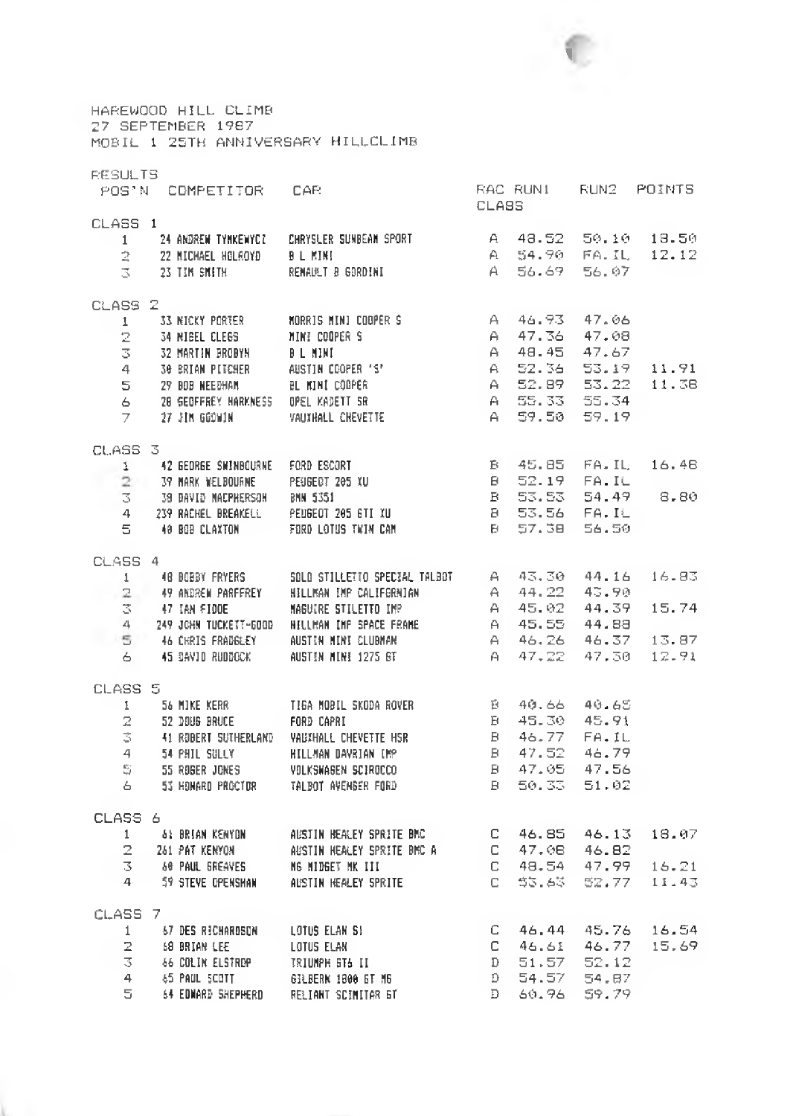

HAREWQOD HILL CLIMB 27 SEPTEMBER 1987 MOBIL 1 25TH ANNIVERSARY HILLCLIMB RESULTS POS'N COMPETITOR CAR THE RACIRUNI RUN2 POINTS CLASS 1 1 24 ANDREW TYMKEWYCZ – CHRYSLER SUNBEAM SPORT CLASS A 48.52 50.10 18.50 2 22 MICHAEL HOLROYD B L MINI A 4 54.90 FA.IL 12.12  $\overline{3}$  23 TIM SMITH RENAULT B GORDINI A 56.69 56.07  $CLASSZ$  $\frac{1}{2}$ 31 KICKY PORTER NORRIS MINI COOPER S A 4 6 . 9 3 4 7 . 0 6 34 NIEEL CLEGS AT MINI COOPER S A 47.36 47.08 3 32 MARTIN BROBYN B L MINI A 48.45 47.67 4 6 30 BRIAN PITCHER AUSTIN COOPER 'S' A 14 2 2 - 36 5 3 . 19 11 . 91 5 2? BOB NEEBHAH BL MIHI COOPER A 5 2 . S9 5 3 . 2 2 1 1 .3 8 6 28 GEOFFREY HflRKNESS OPEL KfltETT SR A 5 5 . 33 5 5 . 3 4  $7 - 27$  JIM GOOWIM VAUXHALL CHEVETTE CLASS 3 1 42 GEORGE SHINBOURHE FORD ESCORT B 4 5 . 95 F A . I L 1 6 . 4 8 37 MARK MELBOURNE PEUGEOT 205 IU 6 5 2 . 19 F A . I L 3 38 DAVID NflCPHERSQH BMN 5351 B 5 3 ■ 5 3 5 4 . 4 9 8 . 8 0 4 239 RACHEL BREAKELL PEUGEOT 205 GTI XU B 53.56 FA.IL 5 40 BOB CLAXTON FORD LOTUS TWIN CAN B 57.38 56.50 CLASS 4 1 40 BOBBY FRYERS SOLO STILLETIO SPECIAL TALBOT A 4 3 . 3 0 4 4 . 16 1 6 .8 3 *ri* 4? ANDREN PARFFSEY HILLMAN IMP CALIFORNIAN A 4 4 . 22 4 3 . 9 0 3 47 IAN FIDDE MAGUIRE STILETTO IMP A 45.02 44.39 15.74<br>4 249 JOHN TUCKETT-600D HILLMAN IMP SPACE FRAME A 45.55 44.88<br>5 46 CHRIS FRADGLEY AUSTIN MINI CLIENAN 4 249 JOHN TUCKETT-GOOD AFLUMAN IMP SPACE FRAME  $\overline{5}$  46 CHRIS FRADSLEY AUSTIN MINI CLUBMAN 6 45 DAVID RUDDOCK AUSTIN MINI 1275 GT A 4 7 . 2 2 4 7 . 3 0 1 2 .9 1 CLASS 5 1 54 HIKE KERR TIGA HOBIL SKODA ROVER B 4 0 - 66 4 0 . 6 5 2 52 DOUB BRUCE FORD CAPRI 6 4 5 . 3 0 4 5 . 91 3 41 ROBERT SUTHERLAND VAlilHALL CHEVETTE HSR B 4 6 .7 7 F A . I L 4 54 PHIL SULLY HILLMAN DAVRIAN IMP B 4 7 . 5 2 4 6 . 7 9  $\mathbb{S} = 55$  roger jones in volkswagen sciroco in item is a 47.05 47.56  $\pm$ 6 53 HONARD PROCTOR 6 TALBOT AVENGER FORD B 50.33 51.02 CLASS 6 1 41 BRIAN KENYON AUSTIN HEALEY SPRITE BMC C 4 6 . 8 5 4 6 . 13 1 8 .0 7 2 241 PAT KENYON AUSTIN HEALEY SPRITE BMC A C 4 7 . 0 8 4 6 . 8 2 3 69 PAUL GREAVES MG MIDGET MK III C 48.54 47.99 16.21 4 59 STEVE OPENSHAN AUSTIN HEALEY SPRITE C 53.63 52.77 11.43 CLASS 7

|    | 67 DES RICHARDSON  | LOTUS ELAN SI       |               | C 46.44 45.76 16.54 |  |
|----|--------------------|---------------------|---------------|---------------------|--|
|    | 69 BRIAN LEE       | LOTUS ELAN          |               | 46.61 46.77 15.69   |  |
|    | 66 COLIN ELSTREP   | IRIUMPH ST& II      | D 51.57 52.12 |                     |  |
| 4  | 65 PAUL SCOTT      | GILBERN 1800 GE MG  | 0 54.57       | 54.87               |  |
| 5. | 64 EDNARD SHEPHERD | RELIANT SCIMITAR GT | D 60.96 59.79 |                     |  |
|    |                    |                     |               |                     |  |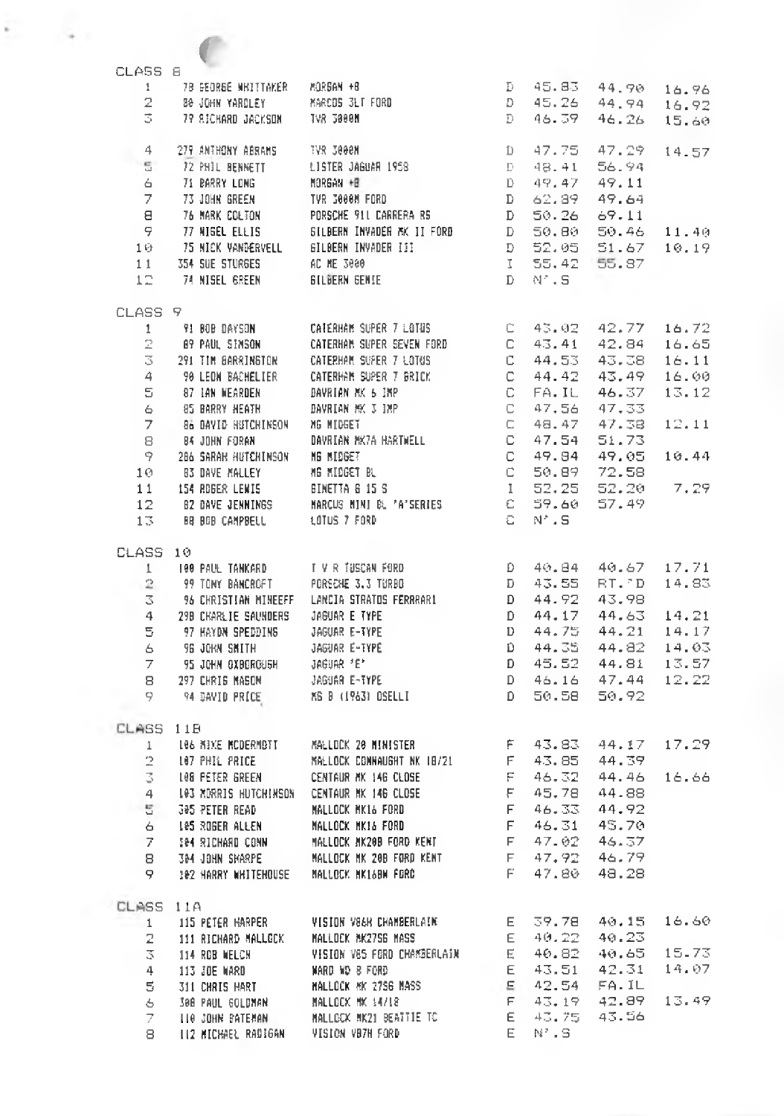| CLASS 8            |                                                                                    |                                                              |                                    |                          |                                                             |                |
|--------------------|------------------------------------------------------------------------------------|--------------------------------------------------------------|------------------------------------|--------------------------|-------------------------------------------------------------|----------------|
|                    | 1 78 GEORGE WHITTAKER                                                              | MORGAN +8                                                    | $\mathbb{R}^n \times \mathbb{R}^n$ |                          | 45.83 44.90                                                 | 16.96          |
| $\overline{2}$     |                                                                                    |                                                              |                                    |                          | D 45.26 44.94                                               | 16.92          |
| 3.                 | 79 SICHARD JACKSON - TVR 3000M                                                     |                                                              | - D -                              | 46.39                    | 46.26                                                       | 15.60          |
| 4                  | 279 ANTHONY ABRAMS . IVR 3000N                                                     |                                                              | $\Box$                             | 47.75                    |                                                             | 47.29 14.57    |
| -5                 | 72 PHIL BENNETT                                                                    | LISTER JAGUAR 1958                                           | $\mathbb{D}$                       | 48.41                    | 56.94                                                       |                |
| 6                  | 71 BARRY LONG                                                                      | MORGAN +8<br><b>CONTRACTOR</b>                               |                                    | D 49.47                  | 49.11                                                       |                |
| 7                  | 73 JOHN GREEN                                                                      | TVR 3000M FORD                                               |                                    | D 62.89 49.64            |                                                             |                |
| 8                  | 76 HARK COLTON                                                                     |                                                              |                                    | D 50.26                  | 69.11                                                       |                |
|                    | 9 77 NIGEL ELLIS<br>10 75 NICK VANDERVELL                                          | SILBERN INVADER MK II FORD<br>GILBERN INVADER III            |                                    | $D = 50.80$              | 50.46<br>51.67                                              | 11.40          |
| 11                 | 354 SUE STURGES                                                                    | AC ME 3000                                                   |                                    | D 52.05<br>1 55,42 55.87 |                                                             | 10.19          |
| 12                 | 74 NISEL GREEN                                                                     | <b>GILBERN GENIE</b>                                         |                                    | D N'.S                   |                                                             |                |
| CLASS 9            |                                                                                    |                                                              |                                    |                          |                                                             |                |
| 1                  | 91 BOB DAYSON                                                                      | CATERHAM SUPER 7 LOTUS                                       |                                    |                          | $C = 43.02 - 42.77$                                         | 16.72          |
| 2                  |                                                                                    | CATERHAM SUPER SEVEN FORD                                    |                                    |                          | C 43.41 42.84                                               | 16.65          |
| 3                  |                                                                                    |                                                              |                                    |                          | C 44.53 43.38                                               | 16.11          |
| $\overline{4}$     | 90 LEON BACHELIER                                                                  | CATERHAM SUPER 7 BRICK                                       |                                    |                          | $C$ 44.42 43.49                                             | 16.00          |
|                    | $5 - 87$ tan Wearden                                                               | DAVRIAN MK 6 IMP                                             |                                    | C FA.IL                  | 46.37                                                       | 13.12          |
| 6                  | 85 BARRY HEATH                                                                     | DAVRIAN MK 3 IMP                                             |                                    |                          | C 47.56 47.33                                               |                |
|                    |                                                                                    |                                                              |                                    |                          | C 48.47 47.38                                               | 12.11          |
|                    | 7 – BÅ DAVID HUTCHINSON – MG MIDGET<br>8 – BA JOHN FORAN – – DAVRIAN MK7A HARTWELL |                                                              |                                    | $C = 47.54$              | 51.73                                                       |                |
|                    | 9 286 SARAR HUTCHINSON MG MIDGET                                                   |                                                              |                                    | C 49.94                  | 49.05                                                       | 10.44          |
| 10.                | <b>B3 DAVE MALLEY</b>                                                              | MG MIDGET BL                                                 |                                    | C 50.89                  | 72.58                                                       |                |
|                    | 11 154 ROBER LEWIS                                                                 | BINETTA & 15 S                                               |                                    | $1\quad 52.25$           | 52.20                                                       | - 7.29         |
|                    | 13 BB BOB CAMPBELL                                                                 | 12 B2 DAVE JENNINGS MARCUS MINI BL *A*SERIES<br>LOTUS 7 FORD |                                    | C 59.60<br>C N'S         | 57.49                                                       |                |
|                    |                                                                                    |                                                              |                                    |                          |                                                             |                |
| CLASS 10           |                                                                                    |                                                              |                                    |                          |                                                             |                |
| $\mathbf{1}$       | 100 PAUL TANKARD<br>99 TONY BANCROFT                                               | T V R TUSCAN FORD<br>PORSCHE 3.3 TURBO                       |                                    | D 43.55                  | $D = 40.84 - 40.67$<br>RT. D                                | 17.71<br>14.83 |
| $\mathbb{R}$<br>3. |                                                                                    | 96 CHRISTIAN MINEEFF - LANCIA STRATOS FERRRARI               |                                    |                          |                                                             |                |
|                    | 4 290 CHARLIE SAUNDERS                                                             | JAGUAR E TYPE                                                |                                    |                          | D 44.92 43.98<br>D 44.17 44.63 14.21<br>D 44.75 44.21 14.17 |                |
| 5                  | 97 HAYDN SPEDDING                                                                  | JAGUAR E-IYPE                                                |                                    |                          |                                                             |                |
| 6                  | 96 JOKN SMITH                                                                      | JAGUAR E-TYPE                                                |                                    |                          | D 44.35 44.82 14.03                                         |                |
| 7                  | 95 JOHN GXBORGUSH                                                                  | JAGUAR 'E'                                                   |                                    |                          | D 45.52 44.81 13.57                                         |                |
| 8                  | 297 CHRIS MASON                                                                    | JAGUAR E-TYPE                                                |                                    |                          |                                                             | 12.22          |
|                    | 9 94 DAVID PRICE                                                                   | MS 8 (1963) OSELLI                                           |                                    |                          | D 46.16 47.44<br>D 50.58 50.92                              |                |
| CLASS 11B          |                                                                                    |                                                              |                                    |                          |                                                             |                |
| 1                  | 106 MBXE MCDERMBTT                                                                 | MALLOCK 20 MINISTER                                          |                                    | F 43.83                  | 44.17                                                       | 17.29          |
| 2                  | L07 PHIL PRICE                                                                     | MALLOCK CONNAUGHT NK 18/21                                   |                                    | F 43.85                  | 44.39                                                       |                |
| 3                  | 108 PETER GREEN                                                                    | CENTAUR MK 146 CLOSE                                         |                                    | F 46.32                  | 44.46                                                       | 16.66          |
| 4                  | 103 MORRIS HUTCHINSON CENTAUR MK 146 CLOSE                                         |                                                              | -F.                                | 45.78                    | 44.88                                                       |                |
| $5^{\circ}$        | 305 PETER READ                                                                     | MALLOCK MK16 FORD                                            |                                    | F 46.33 44.92            |                                                             |                |
| 6                  | 105 ROGER ALLEN                                                                    | MALLOCK MK16 FORD                                            |                                    | F 46.31 45.70            |                                                             |                |
|                    | 7 104 RICHARD CONN                                                                 | MALLOCK MK200 FORD KENT                                      |                                    | F 47.02 46.37            |                                                             |                |
| 8                  | 304 JOHN SHARPE                                                                    | MALLOCK MK 200 FORD KENT                                     | F.                                 | 47.92                    | 46.79                                                       |                |
| 9                  | 102 HARRY WHITEHOUSE                                                               | MALLOCK MK160W FORD                                          |                                    | F 47.80                  | 48.28                                                       |                |
| CLASS 11A          |                                                                                    |                                                              |                                    |                          |                                                             |                |
| $\mathbf{1}$       | 115 PETER HARPER                                                                   | VISION V86R CHAMBERLAIN                                      | E.                                 | 39.78                    | 40.15                                                       | 16.60          |
| 2.                 | 111 RICHARD MALLOCK                                                                | MALLOCK NK2756 MASS                                          | E.                                 | 40.22                    | 40.23                                                       |                |
| 3.                 | 114 ROB WELCH                                                                      | VISION V85 FORD CHAMBERLAIN                                  | Е.                                 | 40.82                    | 40.65                                                       | 15.73          |
| 4                  | 113 JUE WARD                                                                       | WARD NO 8 FORD.                                              | E.                                 | 43.51<br>42.54           | 42.31<br>FA.IL                                              | 14.07          |
| 5.                 | 311 CHRIS HART                                                                     | HALLOCK HK 27S6 MASS<br>MALLOCK MK 14718                     | ε<br>F.                            | 43.19                    | 42.89                                                       | 13.49          |
| 6.<br>7.           | 308 PAUL GOLDMAN<br>LLO JOHN BATEMAN                                               | MALLOCK MK21 BEATTIE TC                                      | Е                                  | 43.75.                   | 43.56                                                       |                |
| 8                  | <b>112 MICHAEL RADIGAN</b>                                                         | VISION VB7H FORD                                             | E.                                 | $\mathbb{N}^s$ . S.      |                                                             |                |
|                    |                                                                                    |                                                              |                                    |                          |                                                             |                |

 $\sim$ 

i.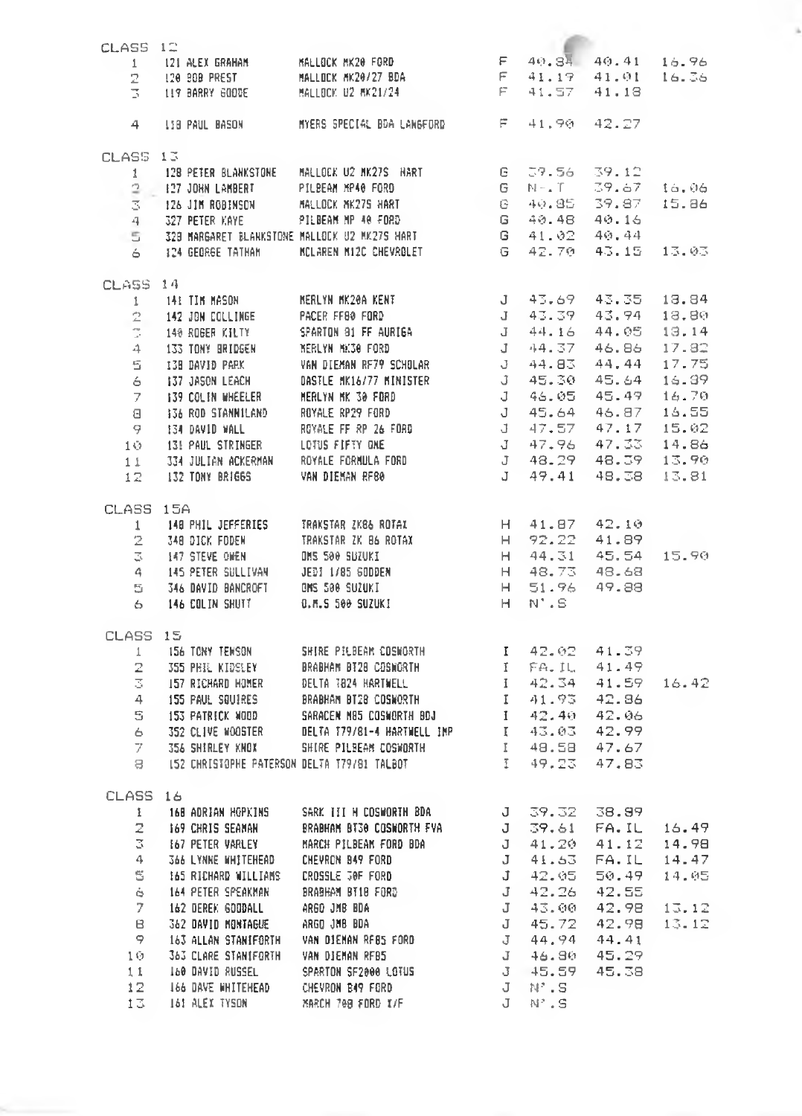| CLASS 12  |                                                                                                                                                                                                                                          |             |  |
|-----------|------------------------------------------------------------------------------------------------------------------------------------------------------------------------------------------------------------------------------------------|-------------|--|
|           |                                                                                                                                                                                                                                          |             |  |
|           |                                                                                                                                                                                                                                          |             |  |
|           |                                                                                                                                                                                                                                          |             |  |
|           |                                                                                                                                                                                                                                          |             |  |
|           |                                                                                                                                                                                                                                          | 41.90 42.27 |  |
| CLASS 13  |                                                                                                                                                                                                                                          |             |  |
|           |                                                                                                                                                                                                                                          |             |  |
|           |                                                                                                                                                                                                                                          |             |  |
|           |                                                                                                                                                                                                                                          |             |  |
|           |                                                                                                                                                                                                                                          |             |  |
|           |                                                                                                                                                                                                                                          |             |  |
|           | 1 128 PETER BLANKSTONE MALLOCK U2 NK27S HART G 59.56 39.12<br>1 128 PETER BLANKSTONE PILBEAM MP40 FORD G N-1 39.67 16.06<br>3 126 JIM ROBINSON MALLOCK NK27S HART G 40.85 39.97 15.86<br>4 327 PETER KAYE PILBEAM MP 40 FORD G 40.48     |             |  |
|           |                                                                                                                                                                                                                                          |             |  |
| CLASS 14  |                                                                                                                                                                                                                                          |             |  |
|           |                                                                                                                                                                                                                                          |             |  |
|           |                                                                                                                                                                                                                                          |             |  |
|           |                                                                                                                                                                                                                                          |             |  |
|           |                                                                                                                                                                                                                                          |             |  |
|           |                                                                                                                                                                                                                                          |             |  |
|           |                                                                                                                                                                                                                                          |             |  |
|           |                                                                                                                                                                                                                                          |             |  |
|           |                                                                                                                                                                                                                                          |             |  |
|           |                                                                                                                                                                                                                                          |             |  |
|           |                                                                                                                                                                                                                                          |             |  |
|           |                                                                                                                                                                                                                                          |             |  |
|           |                                                                                                                                                                                                                                          |             |  |
|           |                                                                                                                                                                                                                                          |             |  |
| CLASS 15A |                                                                                                                                                                                                                                          |             |  |
|           |                                                                                                                                                                                                                                          |             |  |
|           |                                                                                                                                                                                                                                          |             |  |
|           |                                                                                                                                                                                                                                          |             |  |
|           |                                                                                                                                                                                                                                          |             |  |
|           |                                                                                                                                                                                                                                          |             |  |
|           | 156 156<br>1 148 PHIL JEFFERIES TRAKSTAR ZK86 ROTAX H 92.22 41.89<br>2 348 DICK FODEN TRAKSTAR ZK 86 ROTAX H 92.22 41.89<br>3 147 STEVE OMEN DIS 500 BUZUKI H 44.31 45.54 15.90<br>4 145 PETER SULLIVAN JEDI 1/85 60DDEN H 48.73 48.68   |             |  |
| CLASS 15  |                                                                                                                                                                                                                                          |             |  |
|           |                                                                                                                                                                                                                                          |             |  |
|           |                                                                                                                                                                                                                                          |             |  |
|           |                                                                                                                                                                                                                                          |             |  |
|           |                                                                                                                                                                                                                                          |             |  |
|           |                                                                                                                                                                                                                                          |             |  |
|           |                                                                                                                                                                                                                                          |             |  |
|           |                                                                                                                                                                                                                                          |             |  |
|           |                                                                                                                                                                                                                                          |             |  |
|           | 15 15<br>1 156 TONY TEMSON 5HIRE PILBEAR COSMORTH 1 42.02 41.39<br>3 355 PHEL KIDSLEY BRABHAM BT28 COSMORTH 1 FFA.IL 41.49<br>3 157 RECHARD HOMER DELTA T824 HARTMELL<br>4 1.93 42.84<br>4 155 PAUL SQUIRES BRABHAM BT28 COSMORTH 1 41.9 |             |  |
| CLASS 16  |                                                                                                                                                                                                                                          |             |  |
|           |                                                                                                                                                                                                                                          |             |  |
|           |                                                                                                                                                                                                                                          |             |  |
|           |                                                                                                                                                                                                                                          |             |  |
|           |                                                                                                                                                                                                                                          |             |  |
|           |                                                                                                                                                                                                                                          |             |  |
|           |                                                                                                                                                                                                                                          |             |  |
|           |                                                                                                                                                                                                                                          |             |  |
|           |                                                                                                                                                                                                                                          |             |  |
|           |                                                                                                                                                                                                                                          |             |  |
|           |                                                                                                                                                                                                                                          |             |  |
|           |                                                                                                                                                                                                                                          |             |  |
|           |                                                                                                                                                                                                                                          |             |  |
|           | ASS 16<br>1 168 ADRIAN MOPKINS SARK III HOSWORTH BDA<br>2 169 CHRIS SEANAN BRABHAM BT30 COSWORTH FVA 3 39, 32 38, 99<br>3 167 PETER VARLEY MARCH PILBEAN FORD BDA 3 41, 20 41, 12 14, 98<br>3 16 DYNE WHITEHEAD CHEVRON BAP FORD<br>5 16 |             |  |
|           |                                                                                                                                                                                                                                          |             |  |

i,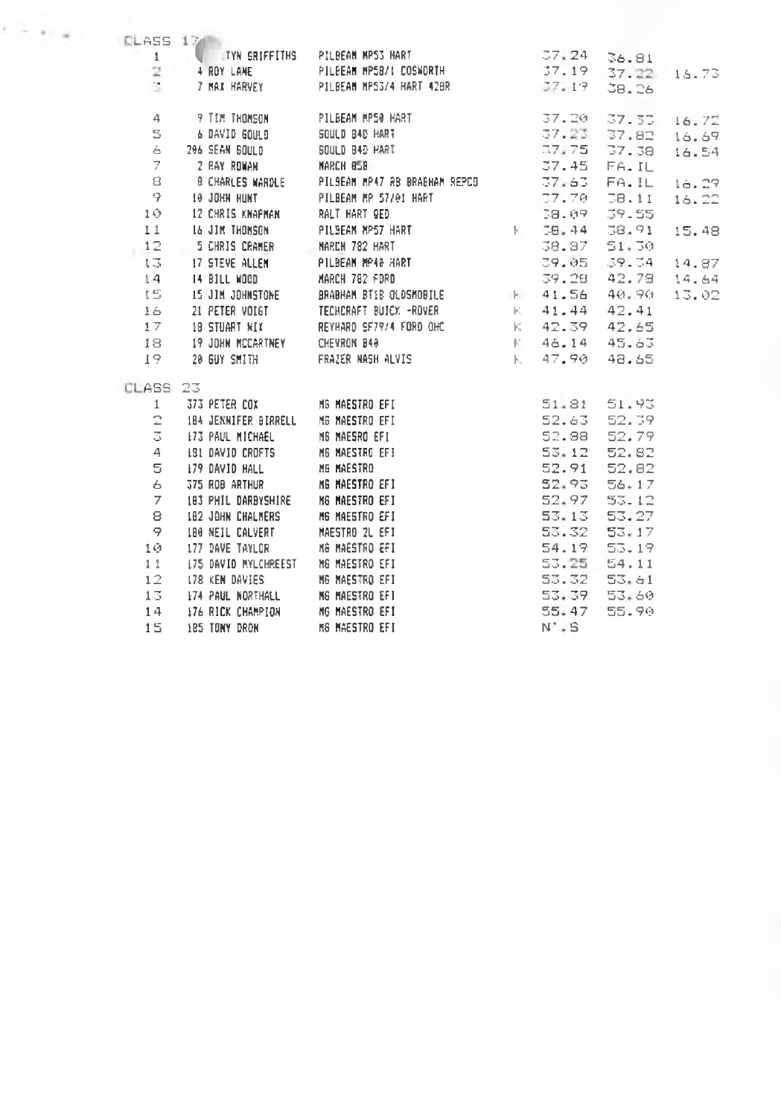|                       | CLASS 17                             |                                                                                                                                                                                                               | 37:24                |                            |       |
|-----------------------|--------------------------------------|---------------------------------------------------------------------------------------------------------------------------------------------------------------------------------------------------------------|----------------------|----------------------------|-------|
|                       |                                      | 1 TYN GRIFFITHS PILBEAM MP53 HART<br>2 4 ROY LANE PILBEAM MP58/L COSWORTH                                                                                                                                     |                      | 36.81<br>37.19 37.22 16.73 |       |
|                       |                                      | 7 MAX HARVEY PILBEAM MP53/4 HART 42BR                                                                                                                                                                         | 37.19                | 38.26                      |       |
|                       |                                      |                                                                                                                                                                                                               |                      |                            |       |
| -4                    |                                      | 9 TIM THOMSON PILBEAM MP50 HART                                                                                                                                                                               | 37.20                | 37.33                      | 16.72 |
| $S -$                 |                                      | 6 DAVID GOULD 60 GOULD BAD HART                                                                                                                                                                               |                      |                            | 16.69 |
| 6.                    |                                      | SOULD B4D HART                                                                                                                                                                                                |                      | 37.23 37.82<br>37.75 37.38 | 16.54 |
| $7 -$                 |                                      |                                                                                                                                                                                                               | 37.45 FA.IL          |                            |       |
|                       |                                      | 8 8 CHARLES WARDLE PILSEAN MP47 AB BRASHAM REPOD 57.63 FA.IL 16.29                                                                                                                                            |                      |                            |       |
|                       |                                      | 9 10 JOHN HUNT   PILBEAM MP 57/01 HART   77.70 58.11                                                                                                                                                          |                      |                            | 16.22 |
| 10                    | 12 CHRIS KNAPMAN       RALT HART GED |                                                                                                                                                                                                               | 38.09                | 39.55                      |       |
| 11                    |                                      |                                                                                                                                                                                                               |                      | K 38.44 38.91              | 15.48 |
| 12                    |                                      |                                                                                                                                                                                                               | 38.87                | 51.30                      |       |
| $t \overline{\omega}$ |                                      |                                                                                                                                                                                                               |                      | 39.05 39.34 14.87          |       |
| $\pm 4$               | 14 BILL MOOD                         | MARCH 782 FORD                                                                                                                                                                                                |                      | 39.28 42.78 14.64          |       |
| 15                    |                                      |                                                                                                                                                                                                               |                      |                            | 13.02 |
| 16                    |                                      |                                                                                                                                                                                                               |                      |                            |       |
| 17                    |                                      |                                                                                                                                                                                                               |                      |                            |       |
| 18                    |                                      |                                                                                                                                                                                                               |                      |                            |       |
| 19                    |                                      | 21 PETER VOIGT THE TECHCRAFT BUJCK -ROVER (41.44 42.41)<br>18 STUART NIX REYHARD SF79/4 FORD OHC (42.39 42.65)<br>19 JOHN MCCARTNEY CHEVRON B49 (46.14 45.63)<br>20 GUY SMITH FRAZER NASH ALVIS (47.90 48.65) |                      |                            |       |
| CLASS 23              |                                      |                                                                                                                                                                                                               |                      |                            |       |
|                       |                                      |                                                                                                                                                                                                               |                      | 51.81 51.93                |       |
|                       |                                      |                                                                                                                                                                                                               | 52.63 52.39          |                            |       |
|                       | <b>3 I73 PAUL MICHAEL</b>            | 184 JENNIFER BIRRELL - NG MAESAO EFI<br>173 PAUL MICHAEL - MG MAESAO EFI<br>181 DAVID CROFTS - MG MAESTAO EFI<br>NG MAESTAO EFI                                                                               | 52.88 52.79          |                            |       |
| 4                     |                                      |                                                                                                                                                                                                               | 53.12                | 52.82                      |       |
| 5                     |                                      |                                                                                                                                                                                                               | 52.91                | 52.82                      |       |
| 6                     |                                      |                                                                                                                                                                                                               | 52.93                | 56.17                      |       |
| 7.                    | 183 PHIL DARBYSHIRE NG MAESTRO EFI   |                                                                                                                                                                                                               | $52.97$ $53.12$      |                            |       |
| 8                     | 182 JOHN CHALMERS                    | M6 MAESTRO EFI                                                                                                                                                                                                | 53.13 53.27          |                            |       |
| 9                     | 180 NEIL CALVERT MAESTRO 2L EFI      |                                                                                                                                                                                                               | 53.32                | 53.17                      |       |
| 10.                   |                                      |                                                                                                                                                                                                               | 54.19                | 53.19                      |       |
|                       |                                      |                                                                                                                                                                                                               | 53.25 54.11          |                            |       |
| 11                    |                                      | 178 KEN DAVIES MG MAESTRO EFI                                                                                                                                                                                 | 53.32                | 53.61                      |       |
| 12                    |                                      |                                                                                                                                                                                                               |                      |                            |       |
| 13                    |                                      |                                                                                                                                                                                                               |                      |                            |       |
| 14                    | 176 RICK CHAMPION MG MAESTRO EFI     | 174 PAUL NORTHALL M6 MAESTRO EF1                                                                                                                                                                              | 53.39 53.60<br>55.47 | 55.90                      |       |

Ŷ.

 $\sim \infty$  .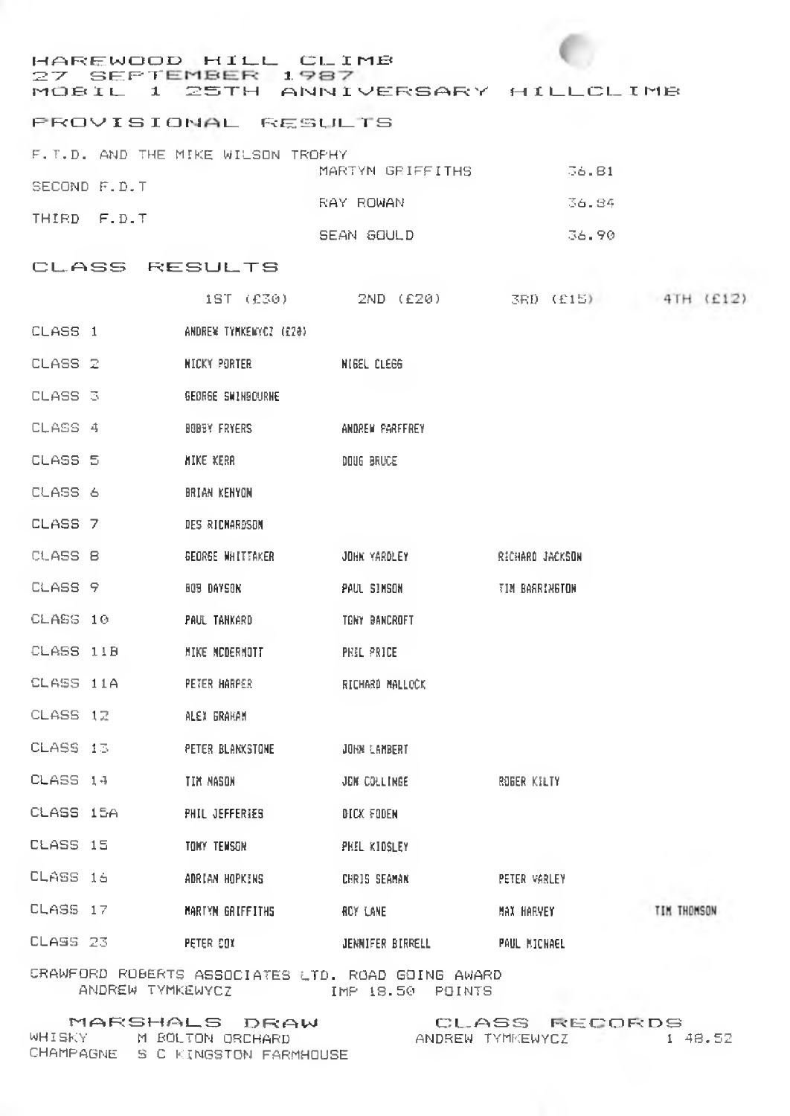# HAREWOOD HILL CLIMI<br>27 SEPTEMBER 1987 HAREWOOD HILL CLIMB<br>27 SEPT**EMBER 1987**<br>MOBIL 1 25TH ANNIVERSARY HILLCLIME

#### **RROVISIONAL RESULTS**

|              |  | F.T.D. AND THE MIKE WILSON TROPHY |                  |        |
|--------------|--|-----------------------------------|------------------|--------|
|              |  |                                   | MARTYN GRIFFITHS | -36.81 |
| SECOND F.D.T |  |                                   |                  |        |
|              |  |                                   | RAY ROWAN        | 36.84  |
| THIRD F.D.T. |  |                                   |                  |        |
|              |  |                                   | SEAN GOULD       | 36.90  |

### CLASS RESULTS

|           | 1ST (£30)                | 2ND (£20)          | 3RD (£15)       | 4TH (£12)   |
|-----------|--------------------------|--------------------|-----------------|-------------|
| CLASS 1   | ANDREW TYMKENYCZ (£20)   |                    |                 |             |
| CLASS 2   | NICKY PORTER             | <b>NIGEL CLEGG</b> |                 |             |
| CLASS 3   | <b>GEORGE SWINSOURHE</b> |                    |                 |             |
| CLASS 4   | <b>BOBBY FRYERS</b>      | ANDREW PARFFREY    |                 |             |
| CLASS 5   | <b>MIKE KERR</b>         | DOUG BRUCE         |                 |             |
| CLASS 6   | BRIAN KENYON             |                    |                 |             |
| CLASS 7   | DES RICHARDSON           |                    |                 |             |
| CLASS B   | GEORGE WHITTAKER         | JOHN YARDLEY       | RICHARD JACKSON |             |
| CLASS 9   | BOB DAYSON               | PAUL SIMSON        | TIM BARRINGTON  |             |
| CLASS 10  | PAUL TANKARD             | TONY BANCROFT      |                 |             |
| CLASS 11B | MIKE MCDERMOTT           | PHIL PRICE         |                 |             |
| CLASS 11A | PETER HARPER             | RICHARD MALLOCK    |                 |             |
| CLASS 12  | ALEX GRAHAM              |                    |                 |             |
| CLASS 13  | PETER BLANKSTONE         | JOHN LAMBERT       |                 |             |
| CLASS 14  | TIM MASON                | JON COLLINGE       | ROBER KILTY     |             |
| CLASS 15A | PHIL JEFFERIES           | DICK FODEN         |                 |             |
| CLASS 15  | TOKY TENSON              | PHIL KIDSLEY       |                 |             |
| CLASS 16  | ADRIAN HOPKINS           | CHRIS SEAMAN       | PETER VARLEY    |             |
| CLASS 17  | MARTYN GRIFFITHS         | <b>ROY LANE</b>    | MAX HARVEY      | TIM THOMSON |
| CLASS 23  | PETER COX                | JENNIFER BIRRELL   | PAUL MICHAEL    |             |
|           |                          |                    |                 |             |

CRAWFORD ROBERTS ASSOCIATES LTD. ROAD GOING AWARD ANDREW TYMKEWYCZ IMP 18.50 POINTS

|            | MARSHALS DRAW          |
|------------|------------------------|
| WHISKY     | M BOLTON ORCHARD       |
| CHAMPAGNE. | S C KINGSTON FARMHOUSE |

CLASS RECORDS<br>DREW TYMKEWYCZ 1 48.52 ANDREW TYMKEWYCZ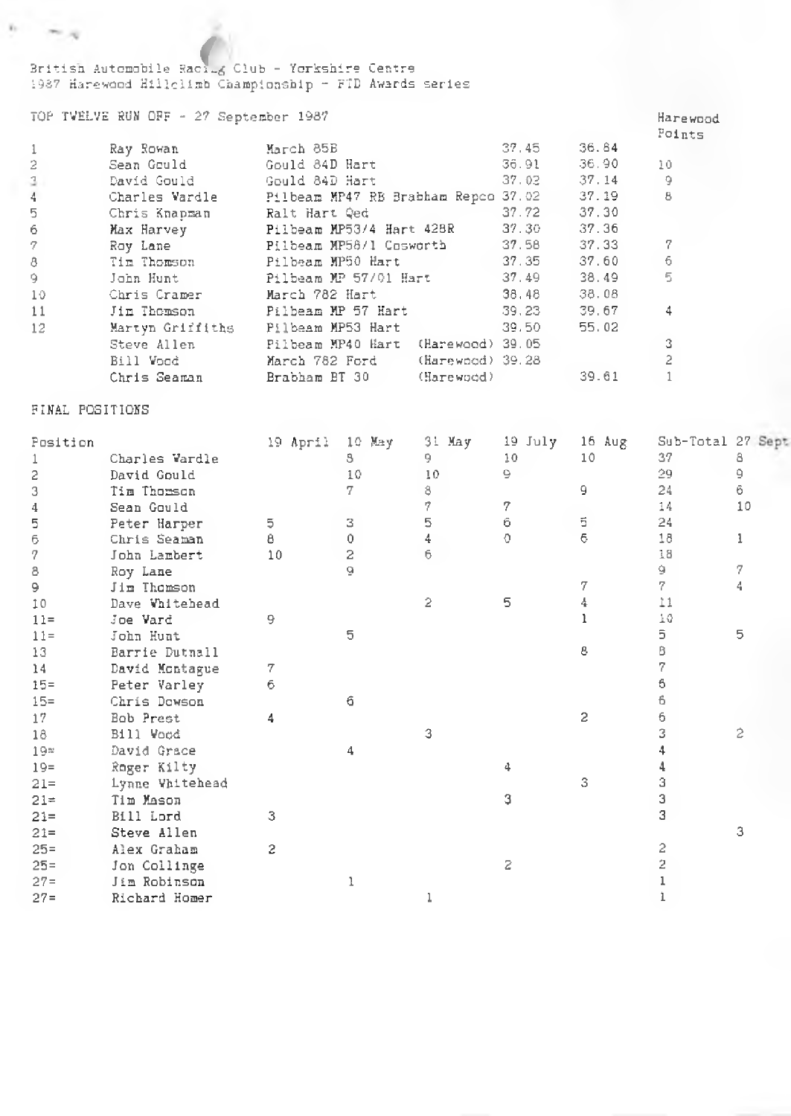3ritisn Autonobile Raci\*.^ C l u b - Yorkshire Centre *f* 1987 Harewood Hillelimb Championship - FTD Awards series

## TOP TVELVE RUN OFF - 27 September 1987 Harewood

|       |                  |                                                           |               |             | Points |
|-------|------------------|-----------------------------------------------------------|---------------|-------------|--------|
|       | Ray Rowan        | March 85B                                                 | 37,45 36.84   |             |        |
| 2     | Sean Gould       | Gould 84D Hart                                            |               | 36.91 36.90 | 10     |
| $3 -$ | David Gould –    | Gould 84D Hart                                            | 37.02 37.14   |             | 9      |
| 4     |                  | Charles Wardle Maribeam MP47 RE Brabham Repco 37.02 37.19 |               |             | 8      |
| 5     | Chris Knapman    | Ralt Hart Qed                                             | 37.72         | 37.30       |        |
| 6     | Max Harvey       | Pilbeam MP53/4 Hart 428R 37.30                            |               | 37.36       |        |
| 7     | Roy Lane         | Pilbeam MP58/1 Cosworth 37.58 37.33                       |               |             | 7      |
| 8     | Tim Thomson      | Pilbeam MP50 Hart                                         |               | 37.35 37.60 | 6      |
| 9.    | John Hunt        | Pilbeam MP 57/01 Hart 37.49                               |               | 38.49       | 5      |
| 10    | Chris Cramer     | March 782 Hart                                            | 38.48         | 38.08       |        |
| 11    |                  | Jim Thomson - Pilbeam MP 57 Hart                          | 39, 23 39, 67 |             | 4      |
| 12    | Martyn Griffiths | Pilbeam MP53 Hart                                         | 39,50         | 55.02       |        |
|       | Steve Allen      | Pilbeam MP40 Hart (Harewood) 39.05                        |               |             | 3      |
|       | Bill Vood        | (Harewood) 39.28<br>March 782 Ford                        |               |             | 2      |
|       | Chris Seaman     | (Harewood)<br>Brabham BT 30                               |               | 39.61       |        |

### FINAL POSITIONS

 $h = m_{\rm H}$ 

| Position |                 | 19 April | 10 May | May<br>31      | 19 July | $16$ Aug | Sub-Total 27 Sept |    |
|----------|-----------------|----------|--------|----------------|---------|----------|-------------------|----|
| 1        | Charles Vardle  |          | 3      | 9.             | 10      | 10       | 37                | 8  |
| 2        | David Gould     |          | 10     | 10             | $\circ$ |          | 29                | 9  |
| 3        | Tim Thorson     |          | 7      | 8              |         | 9        | 24                | 6  |
| 4        | Sean Gould      |          |        | 7              | 7       |          | 14                | 10 |
|          | Peter Harper    | 5        | 3      | 5              | 6       | 5        | 24                |    |
| 567      | Chris Seaman    | 8        | 0      | 4              | ♦       | 6        | 18                | 1  |
|          | John Lambert    | 10       | 2      | 6              |         |          | 18                |    |
| 8        | Roy Lane        |          | Q      |                |         |          | 9.                | 7  |
| 9        | Jim Thomson     |          |        |                |         | 7        | 7                 | 4  |
| 10       | Dave Whitehead  |          |        | $\overline{2}$ | 5       |          | 11                |    |
| $11 =$   | Joe Vard        | 9        |        |                |         |          | 10                |    |
| $11 =$   | John Hunt       |          | 5      |                |         |          | 5                 | 5  |
| 13       | Barrie Dutnall  |          |        |                |         | 8        | 8                 |    |
| 14       | David Montague  | 7        |        |                |         |          |                   |    |
| $15 =$   | Peter Varley    | 6        |        |                |         |          | 6                 |    |
| $15 =$   | Chris Dowson    |          | 6      |                |         |          | 6                 |    |
| 17       | Bob Prest       | 4        |        |                |         | 2        | 6                 |    |
| 18       | Bill Wood       |          |        | 3              |         |          | 3                 | 2  |
| 19z      | David Grace     |          | 4      |                |         |          |                   |    |
| $19 =$   | Roger Kilty     |          |        |                | 4       |          |                   |    |
| $21 =$   | Lynne Whitehead |          |        |                |         | 3        | з                 |    |
| $21 =$   | Tim Mason       |          |        |                | З       |          | 3                 |    |
| $21 =$   | Bill Lord       | 3        |        |                |         |          | 3                 |    |
| $21 =$   | Steve Allen     |          |        |                |         |          |                   | 3  |
| $25 =$   | Alex Graham     | 2        |        |                |         |          | 2                 |    |
| $25 =$   | Jon Collinge    |          |        |                | 2       |          | 2                 |    |
| $27 =$   | Jim Robinson    |          |        |                |         |          |                   |    |
| $27 =$   | Richard Homer   |          |        |                |         |          |                   |    |
|          |                 |          |        |                |         |          |                   |    |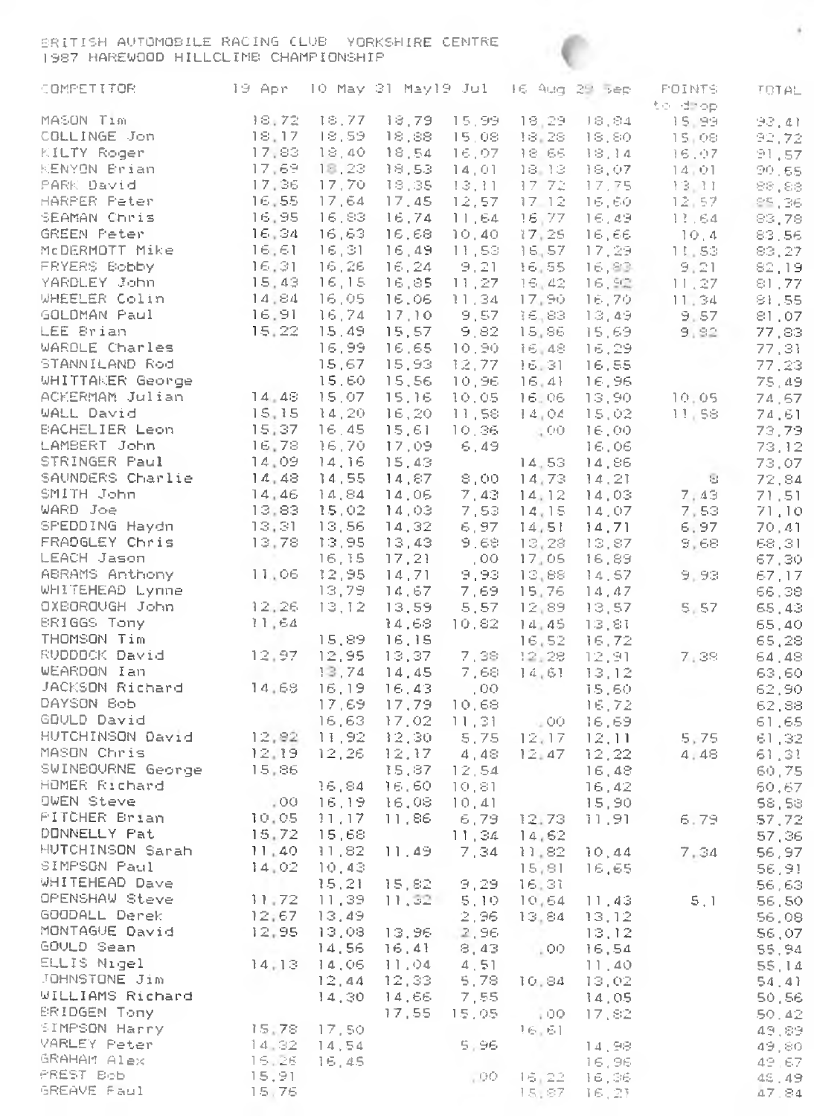BRITISH AUTOMOBILE RACING CLUB YORKSHIRE CENTRE 1987 HAREWOOD HILLCLIMB CHAMPIONSHIP

| COMPETITOR.                                           | 19 Apr - 10 May 31 May19 Jul - 16 Aug 29 Sep |                    |                                    |               |                                               |                   | <b>POINTS</b>                                                                                                                                   | TOTAL.          |
|-------------------------------------------------------|----------------------------------------------|--------------------|------------------------------------|---------------|-----------------------------------------------|-------------------|-------------------------------------------------------------------------------------------------------------------------------------------------|-----------------|
| MASON Tim                                             | 18,72                                        | 18,77              | 10,79                              |               |                                               | 15,99 18,29 18,84 | to drop<br>$18,84$ $15,98$<br>$18,80$ $15,98$<br>$18,14$ $16,97$<br>$18,07$ $14,01$<br>$17,75$ $13,11$<br>$16,60$ $12,57$<br>$16,64$<br>$16,64$ | 93,41           |
| COLLINGE Jon 18,17                                    |                                              | 18,59              | 18,88.                             |               | 15,08 18,28                                   |                   |                                                                                                                                                 | 92,72           |
| KILTY Roger                                           | - 17,83                                      | 18,40              | 18,54                              |               | 16,07 18.66                                   |                   |                                                                                                                                                 | 91,57           |
| KENYON Brian                                          | 17,69                                        | 18,23              | 18,53                              | 14.01         | - 18 13                                       |                   |                                                                                                                                                 | 90.65           |
| PARK David                                            | 17,36                                        | 17,70              | 18,35.                             |               | -13,11 - 17-72.                               |                   |                                                                                                                                                 | 88,88           |
| HARPER Peter                                          | 16,55                                        | 17,64              | 17.45                              | 12,57         | $-17 - 12$                                    |                   | $\frac{12}{13}$ , 57<br>13.64                                                                                                                   | 85,36.          |
| SEAMAN Chris                                          | 16,95                                        | -16,83             | 16,74                              |               | 11,64 16,77                                   |                   |                                                                                                                                                 | 83,78           |
| GREEN Peter                                           | 16,34                                        | - 16,63            | 16,68                              |               | 10,40 17,25                                   | 16,66<br>17,29    | $10,4$ .                                                                                                                                        | 83,56           |
| McDERMOTT Mike 16,61                                  |                                              | 16,31              | 16,49                              |               | 11,53 16,57                                   |                   | 11,53                                                                                                                                           | 83,27           |
| FRYERS Bobby                                          | 16,31<br>15,43                               | 16,26<br>16,15     | 16,24                              | - 9,21        | 16,55                                         | 16,83.            | 9,21                                                                                                                                            | 82,19           |
| YARDLEY John<br>WHEELER Colin                         | 14,84                                        | -16,05             | 16,85.<br>16.06                    | $-11, 34$     | 11,27 16,42<br>17,90                          | 16, 92<br>16,70   | 11,27                                                                                                                                           | 81,77<br>81,55  |
| GOLDMAN Paul                                          | 16.91                                        | 16,74              | 17,10                              | 9,57          | - 36.83.                                      |                   | 11, 34<br>$13,49$ 9.57                                                                                                                          | 81,07           |
| LEE Brian                                             | 15,22                                        | 15.49              | 15.57                              | 9,82          | 15,86                                         | 15.69 -           | 9,92                                                                                                                                            | 77,83           |
| WARDLE Charles                                        |                                              | 16,99              | 16,65.                             |               |                                               | 10.90 16.48 16.29 |                                                                                                                                                 | 77,31           |
| STANNILAND Rod                                        |                                              | 15,67              | 15,93.                             | 12,77         | - 16,31                                       | 16,55             |                                                                                                                                                 | 77,23           |
| WHITTAKER George 15,60<br>ACKERMAM Julian 14,48 15,07 |                                              | 15,60              | 15,56                              | 10,96         | 16, 41                                        | 16,96             |                                                                                                                                                 | 75.49           |
|                                                       |                                              |                    | 15,16                              | 10,05         | 16.06                                         | 13,90             | 10.05                                                                                                                                           | 74,67           |
| WALL David                                            | 15, 15                                       | -14,20             | 16,20                              |               | 11,58 14,04                                   | 15,02.            | 11,58                                                                                                                                           | 74,61           |
| BACHELIER Leon 15,37                                  |                                              | 16,45              | 15,61                              | 10,36         | $\sim 00$                                     | 16,00 -           |                                                                                                                                                 | 73,79           |
| LAMBERT John                                          | 16,78                                        | 16.70              | 17.09                              | - 6,49        |                                               | 16,06.            |                                                                                                                                                 | 73,12           |
| STRINGER Paul                                         | 14.09                                        | 14,16              | 15,43                              |               | 14.53                                         | 14.86             | œ                                                                                                                                               | 73,07           |
| SAUNDERS Charlie 14,48<br>SMITH John 14,46            |                                              | 14.55              | 14,87                              |               | 8,00 14,73                                    | 14,21             | $\sim$ $\alpha$                                                                                                                                 | 72,84           |
|                                                       |                                              | 14,84              | 14,05.                             |               | $7.43$ 14.12                                  |                   | $\frac{14.03}{214.07}$ $\frac{7.43}{7.52}$                                                                                                      | 71,51           |
| WARD Joe                                              | 13,83                                        | $-15,02$<br>-13,56 | 14,03.<br>14,32                    | 7,53<br>6.97  | 14.15                                         | 14,07<br>14,71    | 7,53                                                                                                                                            | 71,10           |
| SPEDDING Haydn 13,31<br>FRADGLEY Chris 13,78          |                                              | 13,95              | 13,43-                             | 9,68          | 14,51<br>13,28                                | 13,87             | 6,97<br>9,68.                                                                                                                                   | 70,41<br>68,31  |
| LEACH Jason                                           |                                              | 16,15              | 17,21                              | , 00.         | 17,05                                         | 16,89.            |                                                                                                                                                 | 67,30           |
| ABRAMS Anthony 11,06 12,95                            |                                              |                    |                                    | $14, 71$ 9,93 | 13,88                                         |                   | $14,57$ 9,93                                                                                                                                    | 67,17           |
| WHITEHEAD Lynne                                       |                                              | 13,79.             | 14,67                              | 7,69          | 15,76                                         | 14, 47            |                                                                                                                                                 | 66,38           |
| OXBOROUGH John 12,26                                  |                                              | 13,12              | 13,59                              | 5,57          | 12,89                                         |                   | $13,57$ $5,57$                                                                                                                                  | 65,43           |
| BRIGGS Tony                                           | 11,64                                        |                    | 14,68.                             | 10,82         | 14.45                                         | 13,81             |                                                                                                                                                 | 65,40           |
| THOMSON Tim 15,89<br>RVDDOCK David 12,97 12,95        |                                              | 15,89              | 16,15                              |               | 16.52                                         | 16,72             |                                                                                                                                                 | 65,28           |
|                                                       |                                              |                    | 13,37                              | 7,38          | $-12,28$                                      | 12,91             | 7,38                                                                                                                                            | 64,48           |
| WEARDON Ian                                           |                                              | 13,74              | 14,45                              |               | $7,68$ $14,61$ $13,12$                        |                   |                                                                                                                                                 | 63,60           |
| JACKSON Richard 14,68 16,19                           |                                              |                    | 16,43                              | .00           |                                               | 15,60.            |                                                                                                                                                 | 62,90           |
| DAYSON Bob                                            | - 이용성                                        | 17,69              | 17,79                              | 10.68         |                                               | 16,72             |                                                                                                                                                 | 62,88           |
| GOULD David                                           |                                              | 16,63              | 17.02                              |               | $11,31 - 00$                                  | 16,69             |                                                                                                                                                 | 61,65           |
| HUTCHINSON David 12,82<br>MASON Chris                 | 12,19                                        | -11,92<br>12,26    | 12,30<br>12,17                     |               | 5,75 12,17<br>4.48 12.47                      | 12, 11<br>12,22   | 5,75<br>4,48                                                                                                                                    | 61,32           |
| SWINBOURNE George 15,86                               |                                              |                    | 15,87                              | 12.54         |                                               | 16,48.            |                                                                                                                                                 | 61,31<br>60,75  |
| HOMER Richard                                         |                                              | 16,84              | 16,60                              |               |                                               | 16,42             |                                                                                                                                                 | 60,67           |
| OWEN Steve                                            |                                              | -16,19             | 16,08                              |               | $\begin{array}{c} 10,81 \\ 10,41 \end{array}$ | 15,90             |                                                                                                                                                 | 58,58           |
| PITCHER Brian                                         | 00, 00, 05                                   | $-11, 17$          | 11,86                              |               | 6,79 12,73                                    |                   | 11,91 6,79                                                                                                                                      | 57,72           |
| DONNELLY Pat                                          | 15,72                                        | 15,68              |                                    |               | $11,34$ $14,62$                               |                   |                                                                                                                                                 | 57,36           |
| HUTCHINSON Sarah                                      |                                              | -11,82.            | 11,49                              |               |                                               |                   |                                                                                                                                                 | 56,97           |
| SIMPSGN Paul                                          | $\frac{11}{14}$ , 40<br>$\frac{40}{14}$      | $-10,43$           |                                    |               |                                               |                   |                                                                                                                                                 | 56,91           |
| WHITEHEAD Dave 15.21<br>OPENSHAW Steve 11.72 11.39    |                                              |                    | 15,21 15,82 9,29 16,31             |               |                                               |                   |                                                                                                                                                 | 56,63           |
|                                                       |                                              |                    |                                    |               |                                               |                   | $11,32$ 5, 10 $10,64$ 11, 43 5, 1                                                                                                               | 56,50           |
| GOODALL Derek                                         |                                              |                    | $12,67$ $13,49$ 2,96 $13,84$ 13,12 |               |                                               |                   |                                                                                                                                                 | 56,08           |
| MONTAGUE David<br>GOULD Sean                          | 12,95                                        | 13,08              | 13,96                              | 2,96          |                                               | 13,12             |                                                                                                                                                 | 56,07           |
| ELLIS Nigel                                           | 14.13                                        | 14,56<br>14,06     | 16,41<br>11.04                     | 8,43<br>4, 51 | $\pm$ 00                                      | 16,54<br>11,40    |                                                                                                                                                 | 55,94           |
| JOHNSTONE Jim                                         |                                              | 12,44              | 12,33                              | 5.78          | 10.84                                         | 13,02             |                                                                                                                                                 | 55,14<br>54, 41 |
| WILLIAMS Richard                                      |                                              | 14,30              | 14,66                              | 7,55          |                                               | 14.05             |                                                                                                                                                 | 50,56           |
| <b>ERIDGEN Tony</b>                                   |                                              |                    | 17.55                              | 15,05         | 100                                           | 17.82             |                                                                                                                                                 | 50.42           |
| SIMPSON Harry                                         | 15,78                                        | 17,50              |                                    |               | 16, 61                                        |                   |                                                                                                                                                 | 49,89           |
| VARLEY Peter                                          | 14.32                                        | 14,54              |                                    | 5,96          |                                               | 14,98             |                                                                                                                                                 | 49.80           |
| GRAHAM Alex                                           | 16,26                                        | -16,45             |                                    |               |                                               | 16,96             |                                                                                                                                                 | 49.67           |
| PREST Bob                                             | 15,91                                        |                    |                                    | , 00          | 16,22                                         | 16,36             |                                                                                                                                                 | 48.49           |
| GREAVE Faul                                           | 15,76                                        |                    |                                    |               | 15,87                                         | 16, 21            |                                                                                                                                                 | 47.84           |

- 61